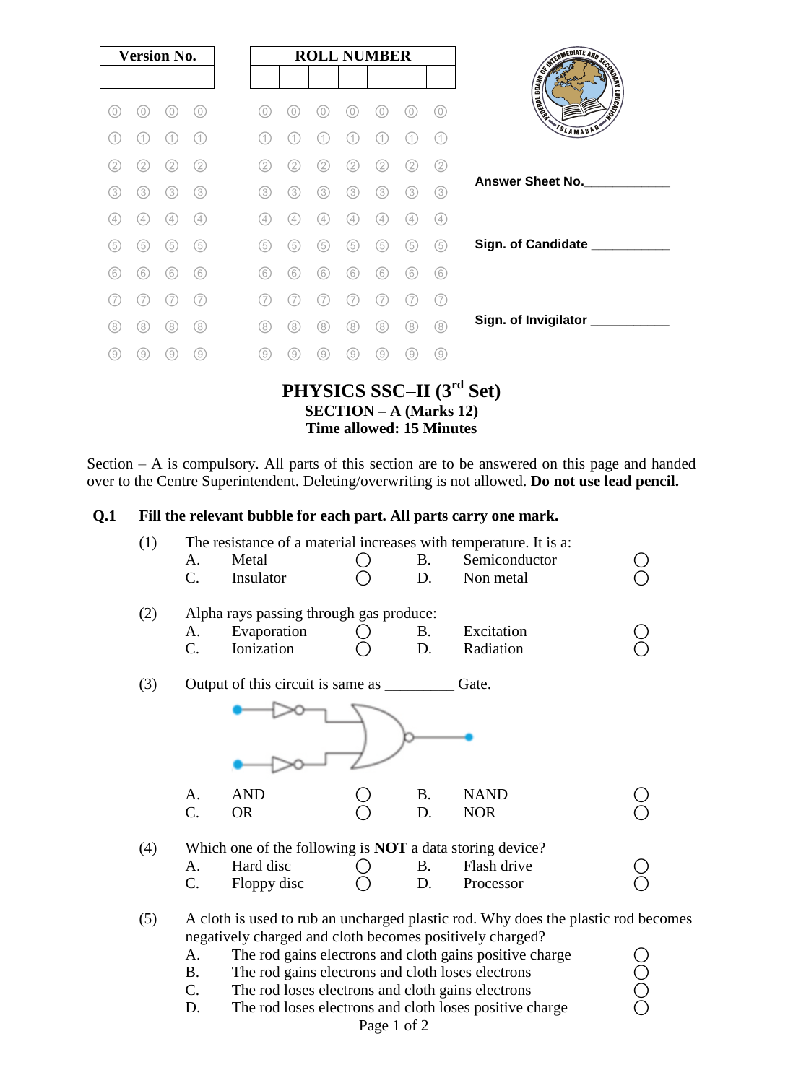| <b>Version No.</b> |                   |     | <b>ROLL NUMBER</b> |     |     |                   |                   |                   |     |     |                               |          |
|--------------------|-------------------|-----|--------------------|-----|-----|-------------------|-------------------|-------------------|-----|-----|-------------------------------|----------|
|                    |                   |     |                    |     |     |                   |                   |                   |     |     |                               |          |
| 0)                 | 0                 | 0)  | 0)                 | 0)  | 0   | O                 | 0                 | 0                 | 0   | 0)  | <b>CONTRACT AND SCREENERS</b> |          |
| (1                 | $\left( 1\right)$ | (1) | (1)                | (1  | 11  | (1)               | 1                 | 1                 | (1  | (1) |                               | SLAMABAD |
| (2)                | (2)               | 2   | (2)                | (2) | 2)  | 2)                | 2                 | (2)               | (2) | (2) |                               |          |
| (3)                | (3)               | (3) | (3)                | ③   | 3)  | (3)               | (3)               | (3)               | (3) | (3) | <b>Answer Sheet No.</b>       |          |
| (4)                | (4)               | (4) | (4)                | (4) | (4) | $\left( 4\right)$ | $\left( 4\right)$ | $\left( 4\right)$ | (4  | 4   |                               |          |
| (5)                | (5)               | (5) | (5)                | (5) | (5) | (5)               | (5)               | (5)               | (5) | (5) | Sign. of Candidate ___        |          |
| (6)                | (6)               | (6) | (6)                | ⊚   | (6) | (6)               | (6)               | (6)               | (6) | (6) |                               |          |
| (7                 | 7                 | (7  | (7)                | (7  | 7)  | 7                 | 7                 |                   | (7  | (7  |                               |          |
| (8)                | (8)               | (8) | (8)                | (8) | (8) | (8)               | (8)               | (8)               | (8) | (8) | Sign. of Invigilator          |          |
| 9                  | 9                 | 0   | (9)                | ⊚   | ΄9) | 9)                | 9                 | ΄9                | 0)  | 0)  |                               |          |

Section – A is compulsory. All parts of this section are to be answered on this page and handed over to the Centre Superintendent. Deleting/overwriting is not allowed. **Do not use lead pencil.**

## **Q.1 Fill the relevant bubble for each part. All parts carry one mark.**

| (1) | The resistance of a material increases with temperature. It is a: |                                                          |  |    |                                                                                   |  |  |  |  |  |  |
|-----|-------------------------------------------------------------------|----------------------------------------------------------|--|----|-----------------------------------------------------------------------------------|--|--|--|--|--|--|
|     | A.                                                                | Metal                                                    |  | Β. | Semiconductor                                                                     |  |  |  |  |  |  |
|     | C.                                                                | Insulator                                                |  | D. | Non metal                                                                         |  |  |  |  |  |  |
| (2) |                                                                   | Alpha rays passing through gas produce:                  |  |    |                                                                                   |  |  |  |  |  |  |
|     |                                                                   |                                                          |  |    |                                                                                   |  |  |  |  |  |  |
|     | A.                                                                | Evaporation                                              |  | B. | Excitation                                                                        |  |  |  |  |  |  |
|     | C.                                                                | Ionization                                               |  | D. | Radiation                                                                         |  |  |  |  |  |  |
| (3) | Output of this circuit is same as<br>Gate.                        |                                                          |  |    |                                                                                   |  |  |  |  |  |  |
|     |                                                                   |                                                          |  |    |                                                                                   |  |  |  |  |  |  |
|     | А.                                                                | <b>AND</b>                                               |  | Β. | <b>NAND</b>                                                                       |  |  |  |  |  |  |
|     | C.                                                                | <b>OR</b>                                                |  | D. | <b>NOR</b>                                                                        |  |  |  |  |  |  |
|     |                                                                   |                                                          |  |    |                                                                                   |  |  |  |  |  |  |
| (4) | Which one of the following is <b>NOT</b> a data storing device?   |                                                          |  |    |                                                                                   |  |  |  |  |  |  |
|     | A.                                                                | Hard disc                                                |  | B. | Flash drive                                                                       |  |  |  |  |  |  |
|     | C.                                                                | Floppy disc                                              |  | D. | Processor                                                                         |  |  |  |  |  |  |
| (5) |                                                                   | negatively charged and cloth becomes positively charged? |  |    | A cloth is used to rub an uncharged plastic rod. Why does the plastic rod becomes |  |  |  |  |  |  |
|     | A.                                                                |                                                          |  |    | The rod gains electrons and cloth gains positive charge                           |  |  |  |  |  |  |

- 
- B. The rod gains electrons and cloth loses electrons  $\bigcirc$ <br>
C. The rod loses electrons and cloth gains electrons  $\bigcirc$ <br>
D. The rod loses electrons and cloth loses positive charge  $\bigcirc$ C. The rod loses electrons and cloth gains electrons
- D. The rod loses electrons and cloth loses positive charge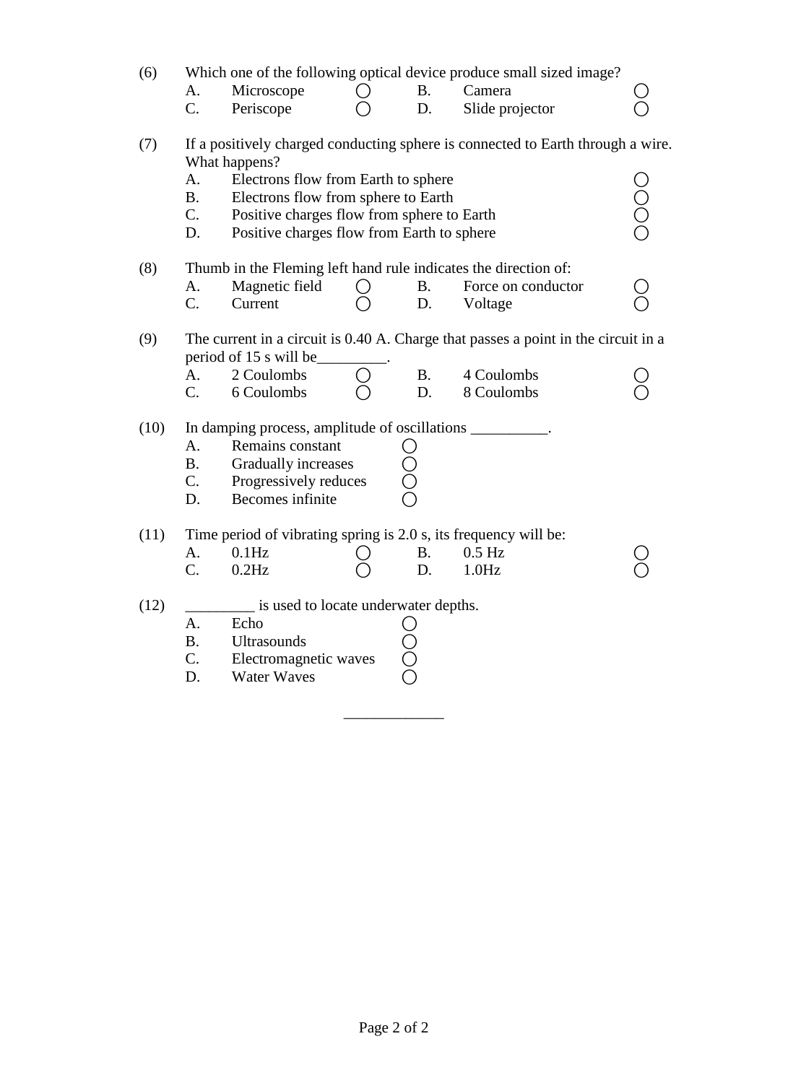| (6)  | A.<br>$C_{\cdot}$           | Microscope<br>Periscope                                                                                                                                                                 | $\left( \ \right)$ | <b>B.</b><br>D. | Which one of the following optical device produce small sized image?<br>Camera<br>Slide projector              |                |
|------|-----------------------------|-----------------------------------------------------------------------------------------------------------------------------------------------------------------------------------------|--------------------|-----------------|----------------------------------------------------------------------------------------------------------------|----------------|
| (7)  | A.<br><b>B.</b><br>C.<br>D. | What happens?<br>Electrons flow from Earth to sphere<br>Electrons flow from sphere to Earth<br>Positive charges flow from sphere to Earth<br>Positive charges flow from Earth to sphere |                    |                 | If a positively charged conducting sphere is connected to Earth through a wire.                                | 00<br>00<br>0  |
| (8)  | A.<br>$C_{\cdot}$           | Magnetic field<br>Current                                                                                                                                                               | $\bigcirc$         | <b>B.</b><br>D. | Thumb in the Fleming left hand rule indicates the direction of:<br>Force on conductor<br>Voltage               | $\overline{O}$ |
| (9)  | A.<br>C.                    | period of 15 s will be<br>2 Coulombs<br>6 Coulombs                                                                                                                                      |                    | <b>B.</b><br>D. | The current in a circuit is 0.40 A. Charge that passes a point in the circuit in a<br>4 Coulombs<br>8 Coulombs |                |
| (10) | A.<br><b>B.</b><br>C.<br>D. | In damping process, amplitude of oscillations __________.<br>Remains constant<br>Gradually increases<br>Progressively reduces<br>Becomes infinite                                       |                    |                 |                                                                                                                |                |
| (11) | A.<br>C.                    | Time period of vibrating spring is 2.0 s, its frequency will be:<br>$0.1$ Hz<br>$0.2$ Hz                                                                                                |                    | <b>B.</b><br>D. | $0.5$ Hz<br>1.0Hz                                                                                              |                |
| (12) | A.<br><b>B.</b><br>C.<br>D. | is used to locate underwater depths.<br>Echo<br>Ultrasounds<br>Electromagnetic waves<br><b>Water Waves</b>                                                                              |                    |                 |                                                                                                                |                |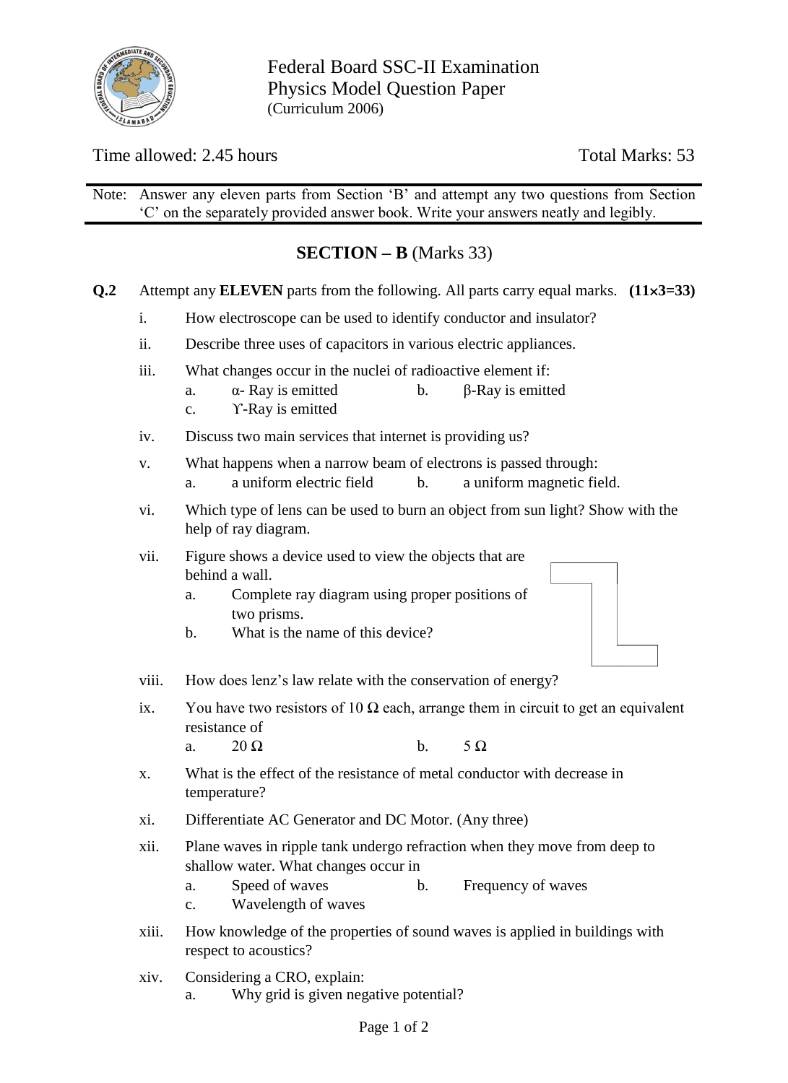

Federal Board SSC-II Examination Physics Model Question Paper (Curriculum 2006)

# Time allowed: 2.45 hours Total Marks: 53

Note: Answer any eleven parts from Section 'B' and attempt any two questions from Section 'C' on the separately provided answer book. Write your answers neatly and legibly.

# **SECTION – B** (Marks 33)

- **Q.2** Attempt any **ELEVEN** parts from the following. All parts carry equal marks. **(113=33)**
	- i. How electroscope can be used to identify conductor and insulator?
	- ii. Describe three uses of capacitors in various electric appliances.
	- iii. What changes occur in the nuclei of radioactive element if:
		- a.  $α-Ray$  is emitted b.  $β-Ray$  is emitted
			- c. ϒ-Ray is emitted
	- iv. Discuss two main services that internet is providing us?
	- v. What happens when a narrow beam of electrons is passed through:
		- a. a uniform electric field b. a uniform magnetic field.
	- vi. Which type of lens can be used to burn an object from sun light? Show with the help of ray diagram.
	- vii. Figure shows a device used to view the objects that are behind a wall.
		- a. Complete ray diagram using proper positions of two prisms.
		- b. What is the name of this device?
	- viii. How does lenz's law relate with the conservation of energy?
	- ix. You have two resistors of 10  $\Omega$  each, arrange them in circuit to get an equivalent resistance of
		- a.  $20 \Omega$  b.  $5 \Omega$
	- x. What is the effect of the resistance of metal conductor with decrease in temperature?
	- xi. Differentiate AC Generator and DC Motor. (Any three)
	- xii. Plane waves in ripple tank undergo refraction when they move from deep to shallow water. What changes occur in
		- a. Speed of waves b. Frequency of waves
		- c. Wavelength of waves
	- xiii. How knowledge of the properties of sound waves is applied in buildings with respect to acoustics?
	- xiv. Considering a CRO, explain:
		- a. Why grid is given negative potential?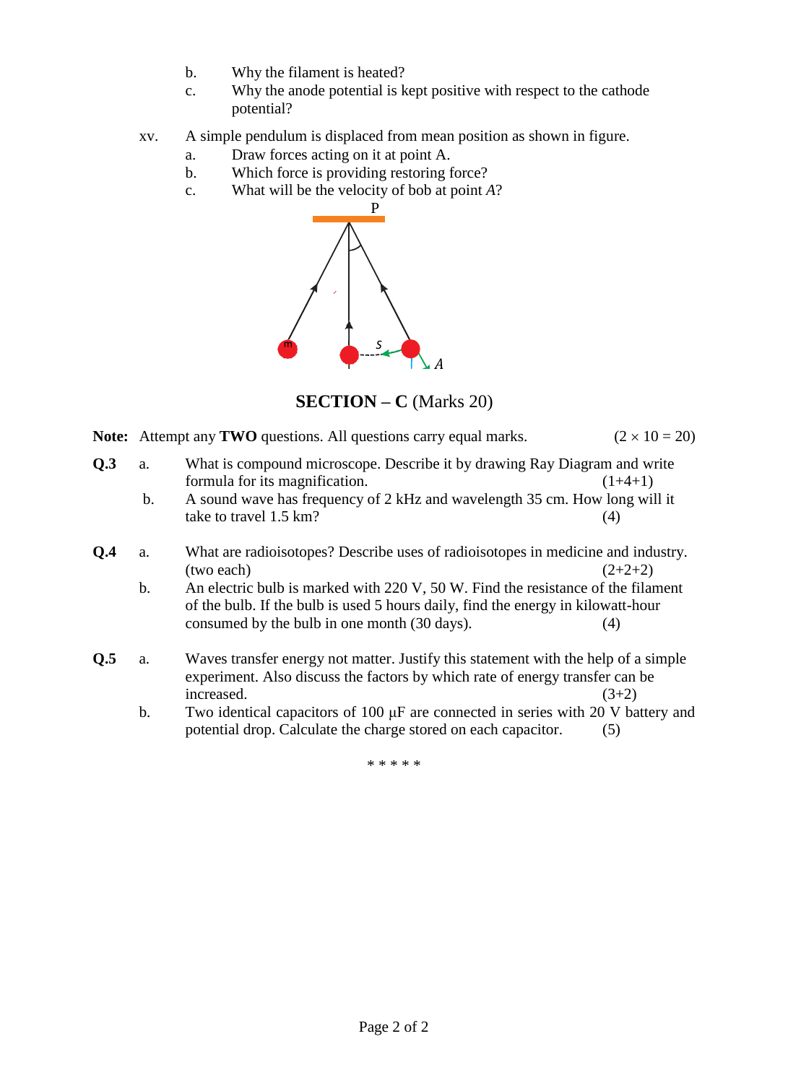- b. Why the filament is heated?
- c. Why the anode potential is kept positive with respect to the cathode potential?
- xv. A simple pendulum is displaced from mean position as shown in figure.
	- a. Draw forces acting on it at point A.
	- b. Which force is providing restoring force?
	- c. What will be the velocity of bob at point *A*?



**SECTION – C** (Marks 20)

- **Note:** Attempt any **TWO** questions. All questions carry equal marks.  $(2 \times 10 = 20)$
- **Q.3** a. What is compound microscope. Describe it by drawing Ray Diagram and write formula for its magnification.  $(1+4+1)$ 
	- b. A sound wave has frequency of 2 kHz and wavelength 35 cm. How long will it take to travel  $1.5 \text{ km}$ ? (4)
- **Q.4** a. What are radioisotopes? Describe uses of radioisotopes in medicine and industry. (two each)  $(2+2+2)$ 
	- b. An electric bulb is marked with 220 V, 50 W. Find the resistance of the filament of the bulb. If the bulb is used 5 hours daily, find the energy in kilowatt-hour consumed by the bulb in one month (30 days). (4)
- **Q.5** a. Waves transfer energy not matter. Justify this statement with the help of a simple experiment. Also discuss the factors by which rate of energy transfer can be  $increased.$  (3+2)
	- b. Two identical capacitors of 100 μF are connected in series with 20 V battery and potential drop. Calculate the charge stored on each capacitor. (5)

\* \* \* \* \*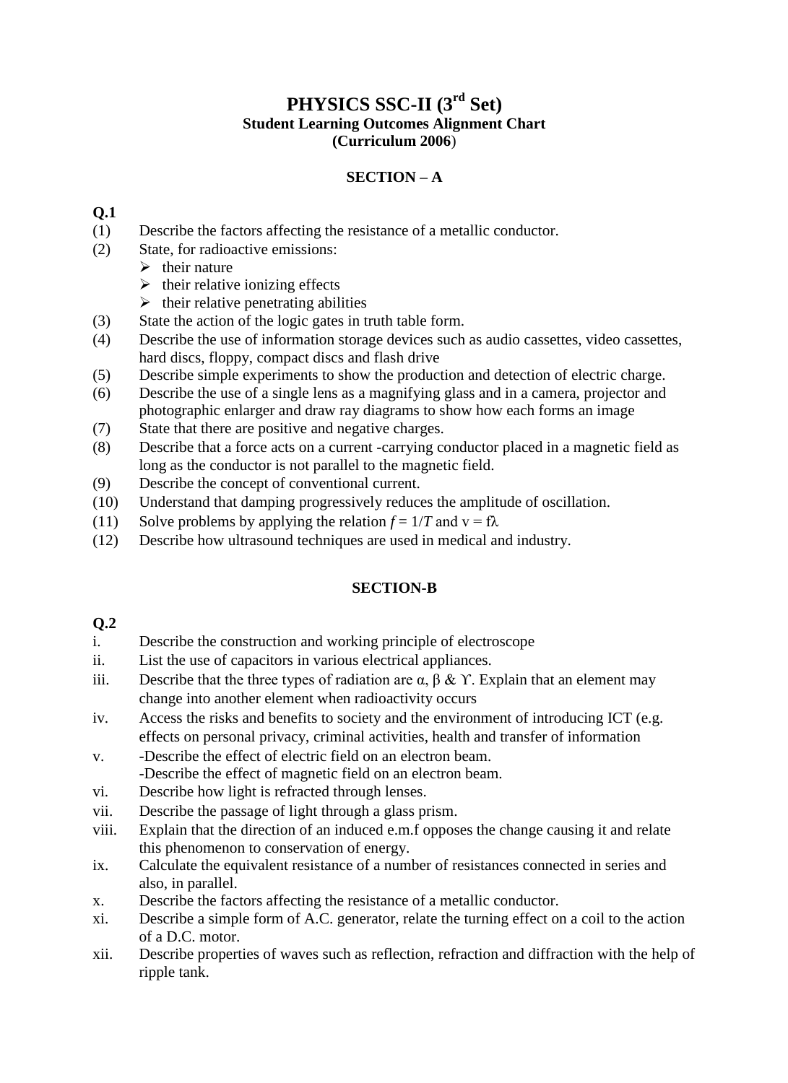## **PHYSICS SSC-II (3 rd Set) Student Learning Outcomes Alignment Chart (Curriculum 2006**)

## **SECTION – A**

## **Q.1**

- (1) Describe the factors affecting the resistance of a metallic conductor.
- (2) State, for radioactive emissions:
	- $\triangleright$  their nature
	- $\triangleright$  their relative ionizing effects
	- $\triangleright$  their relative penetrating abilities
- (3) State the action of the logic gates in truth table form.
- (4) Describe the use of information storage devices such as audio cassettes, video cassettes, hard discs, floppy, compact discs and flash drive
- (5) Describe simple experiments to show the production and detection of electric charge.
- (6) Describe the use of a single lens as a magnifying glass and in a camera, projector and photographic enlarger and draw ray diagrams to show how each forms an image
- (7) State that there are positive and negative charges.
- (8) Describe that a force acts on a current -carrying conductor placed in a magnetic field as long as the conductor is not parallel to the magnetic field.
- (9) Describe the concept of conventional current.
- (10) Understand that damping progressively reduces the amplitude of oscillation.
- (11) Solve problems by applying the relation  $f = 1/T$  and  $v = f\lambda$
- (12) Describe how ultrasound techniques are used in medical and industry.

## **SECTION-B**

#### **Q.2**

- i. Describe the construction and working principle of electroscope
- ii. List the use of capacitors in various electrical appliances.
- iii. Describe that the three types of radiation are  $\alpha$ ,  $\beta$  &  $\gamma$ . Explain that an element may change into another element when radioactivity occurs
- iv. Access the risks and benefits to society and the environment of introducing ICT (e.g. effects on personal privacy, criminal activities, health and transfer of information
- v. -Describe the effect of electric field on an electron beam. -Describe the effect of magnetic field on an electron beam.
- vi. Describe how light is refracted through lenses.
- vii. Describe the passage of light through a glass prism.
- viii. Explain that the direction of an induced e.m.f opposes the change causing it and relate this phenomenon to conservation of energy.
- ix. Calculate the equivalent resistance of a number of resistances connected in series and also, in parallel.
- x. Describe the factors affecting the resistance of a metallic conductor.
- xi. Describe a simple form of A.C. generator, relate the turning effect on a coil to the action of a D.C. motor.
- xii. Describe properties of waves such as reflection, refraction and diffraction with the help of ripple tank.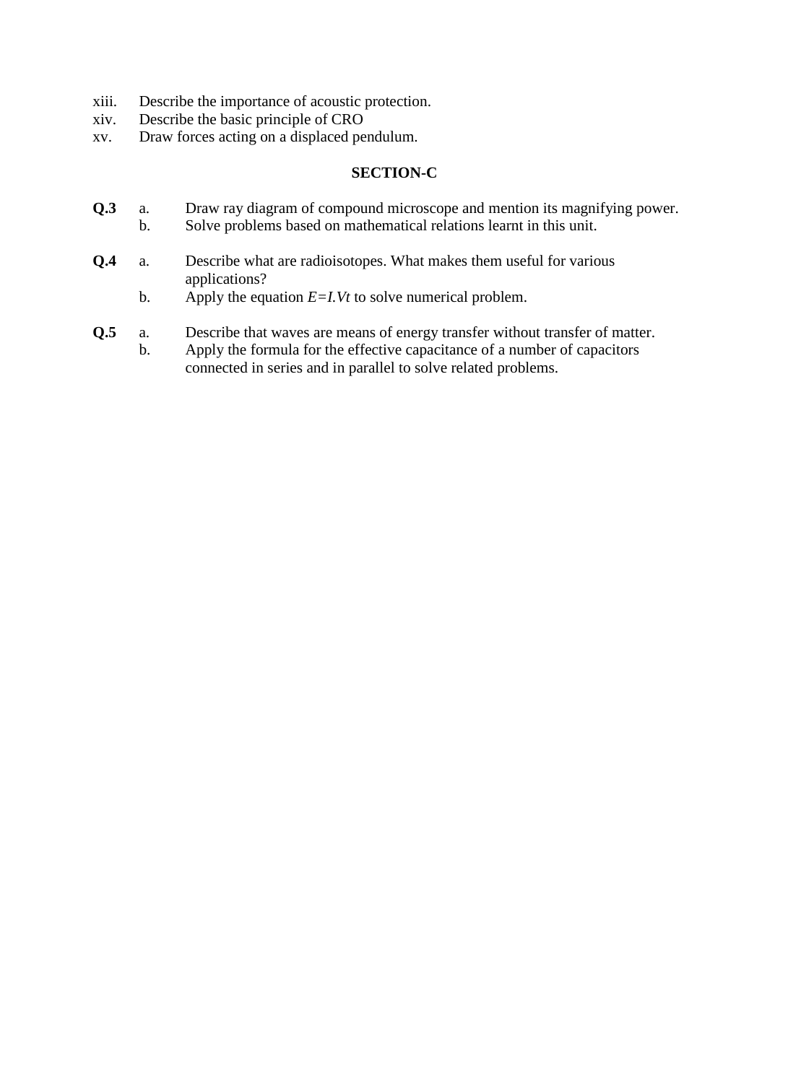- xiii. Describe the importance of acoustic protection.
- xiv. Describe the basic principle of CRO
- xv. Draw forces acting on a displaced pendulum.

## **SECTION-C**

- **Q.3** a. Draw ray diagram of compound microscope and mention its magnifying power.
	- b. Solve problems based on mathematical relations learnt in this unit.
- **Q.4** a. Describe what are radioisotopes. What makes them useful for various applications?
	- b. Apply the equation *E=I.Vt* to solve numerical problem.
- **Q.5** a. Describe that waves are means of energy transfer without transfer of matter.
	- b. Apply the formula for the effective capacitance of a number of capacitors connected in series and in parallel to solve related problems.